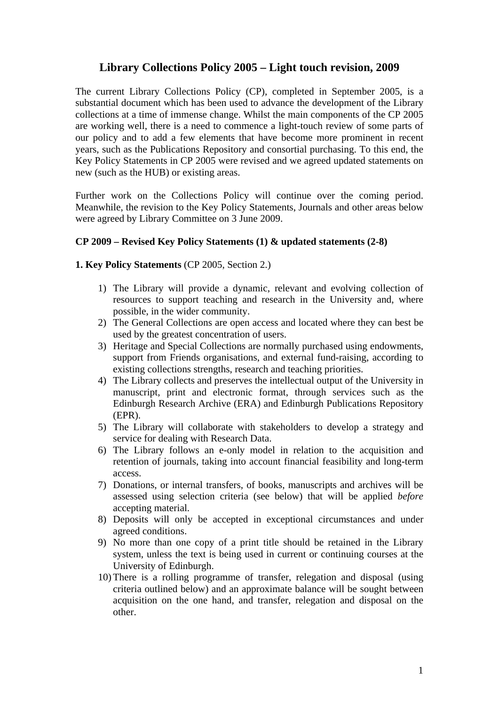# **Library Collections Policy 2005 – Light touch revision, 2009**

The current Library Collections Policy (CP), completed in September 2005, is a substantial document which has been used to advance the development of the Library collections at a time of immense change. Whilst the main components of the CP 2005 are working well, there is a need to commence a light-touch review of some parts of our policy and to add a few elements that have become more prominent in recent years, such as the Publications Repository and consortial purchasing. To this end, the Key Policy Statements in CP 2005 were revised and we agreed updated statements on new (such as the HUB) or existing areas.

Further work on the Collections Policy will continue over the coming period. Meanwhile, the revision to the Key Policy Statements, Journals and other areas below were agreed by Library Committee on 3 June 2009.

## **CP 2009 – Revised Key Policy Statements (1) & updated statements (2-8)**

#### **1. Key Policy Statements** (CP 2005, Section 2.)

- 1) The Library will provide a dynamic, relevant and evolving collection of resources to support teaching and research in the University and, where possible, in the wider community.
- 2) The General Collections are open access and located where they can best be used by the greatest concentration of users.
- 3) Heritage and Special Collections are normally purchased using endowments, support from Friends organisations, and external fund-raising, according to existing collections strengths, research and teaching priorities.
- 4) The Library collects and preserves the intellectual output of the University in manuscript, print and electronic format, through services such as the Edinburgh Research Archive (ERA) and Edinburgh Publications Repository (EPR).
- 5) The Library will collaborate with stakeholders to develop a strategy and service for dealing with Research Data.
- 6) The Library follows an e-only model in relation to the acquisition and retention of journals, taking into account financial feasibility and long-term access.
- 7) Donations, or internal transfers, of books, manuscripts and archives will be assessed using selection criteria (see below) that will be applied *before* accepting material.
- 8) Deposits will only be accepted in exceptional circumstances and under agreed conditions.
- 9) No more than one copy of a print title should be retained in the Library system, unless the text is being used in current or continuing courses at the University of Edinburgh.
- 10) There is a rolling programme of transfer, relegation and disposal (using criteria outlined below) and an approximate balance will be sought between acquisition on the one hand, and transfer, relegation and disposal on the other.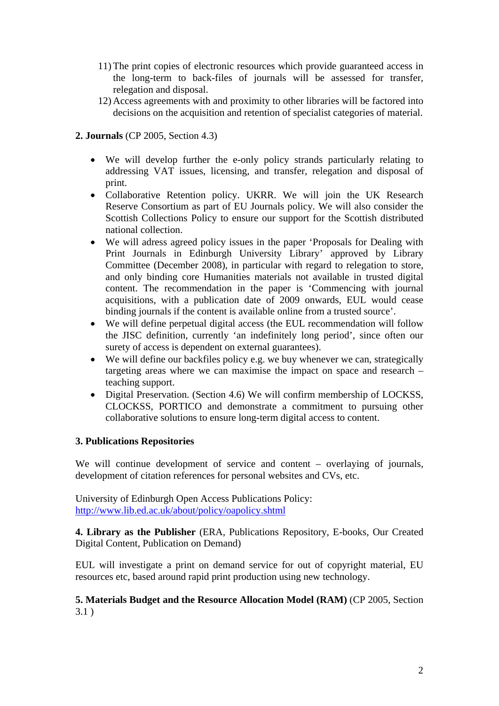- 11) The print copies of electronic resources which provide guaranteed access in the long-term to back-files of journals will be assessed for transfer, relegation and disposal.
- 12) Access agreements with and proximity to other libraries will be factored into decisions on the acquisition and retention of specialist categories of material.

## **2. Journals** (CP 2005, Section 4.3)

- We will develop further the e-only policy strands particularly relating to addressing VAT issues, licensing, and transfer, relegation and disposal of print.
- Collaborative Retention policy. UKRR. We will join the UK Research Reserve Consortium as part of EU Journals policy. We will also consider the Scottish Collections Policy to ensure our support for the Scottish distributed national collection.
- We will adress agreed policy issues in the paper 'Proposals for Dealing with Print Journals in Edinburgh University Library' approved by Library Committee (December 2008), in particular with regard to relegation to store, and only binding core Humanities materials not available in trusted digital content. The recommendation in the paper is 'Commencing with journal acquisitions, with a publication date of 2009 onwards, EUL would cease binding journals if the content is available online from a trusted source'.
- We will define perpetual digital access (the EUL recommendation will follow the JISC definition, currently 'an indefinitely long period', since often our surety of access is dependent on external guarantees).
- We will define our backfiles policy e.g. we buy whenever we can, strategically targeting areas where we can maximise the impact on space and research – teaching support.
- Digital Preservation. (Section 4.6) We will confirm membership of LOCKSS, CLOCKSS, PORTICO and demonstrate a commitment to pursuing other collaborative solutions to ensure long-term digital access to content.

#### **3. Publications Repositories**

We will continue development of service and content – overlaying of journals, development of citation references for personal websites and CVs, etc.

University of Edinburgh Open Access Publications Policy: <http://www.lib.ed.ac.uk/about/policy/oapolicy.shtml>

**4. Library as the Publisher** (ERA, Publications Repository, E-books, Our Created Digital Content, Publication on Demand)

EUL will investigate a print on demand service for out of copyright material, EU resources etc, based around rapid print production using new technology.

## **5. Materials Budget and the Resource Allocation Model (RAM)** (CP 2005, Section 3.1 )